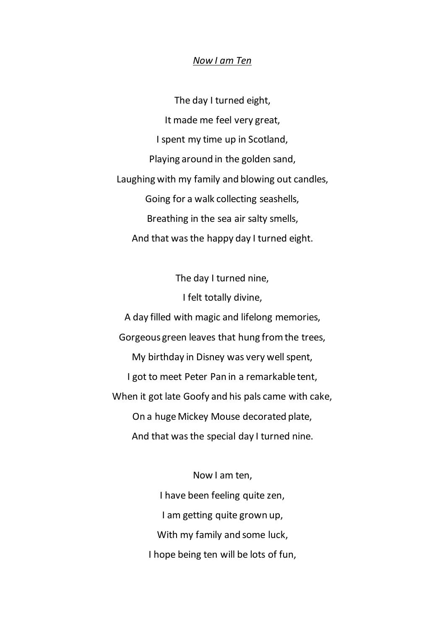## *Now I am Ten*

The day I turned eight, It made me feel very great, I spent my time up in Scotland, Playing around in the golden sand, Laughing with my family and blowing out candles, Going for a walk collecting seashells, Breathing in the sea air salty smells, And that was the happy day I turned eight.

The day I turned nine, I felt totally divine, A day filled with magic and lifelong memories, Gorgeous green leaves that hung from the trees, My birthday in Disney was very well spent, I got to meet Peter Pan in a remarkable tent, When it got late Goofy and his pals came with cake, On a huge Mickey Mouse decorated plate, And that was the special day I turned nine.

> Now I am ten, I have been feeling quite zen, I am getting quite grown up, With my family and some luck, I hope being ten will be lots of fun,